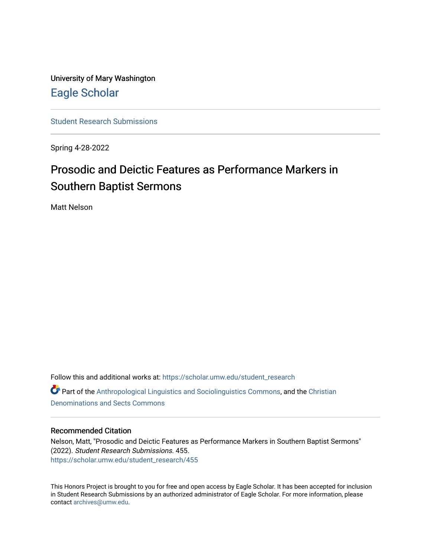University of Mary Washington [Eagle Scholar](https://scholar.umw.edu/) 

[Student Research Submissions](https://scholar.umw.edu/student_research) 

Spring 4-28-2022

# Prosodic and Deictic Features as Performance Markers in Southern Baptist Sermons

Matt Nelson

Follow this and additional works at: [https://scholar.umw.edu/student\\_research](https://scholar.umw.edu/student_research?utm_source=scholar.umw.edu%2Fstudent_research%2F455&utm_medium=PDF&utm_campaign=PDFCoverPages) **Part of the [Anthropological Linguistics and Sociolinguistics Commons,](https://network.bepress.com/hgg/discipline/372?utm_source=scholar.umw.edu%2Fstudent_research%2F455&utm_medium=PDF&utm_campaign=PDFCoverPages) and the [Christian](https://network.bepress.com/hgg/discipline/1184?utm_source=scholar.umw.edu%2Fstudent_research%2F455&utm_medium=PDF&utm_campaign=PDFCoverPages)** [Denominations and Sects Commons](https://network.bepress.com/hgg/discipline/1184?utm_source=scholar.umw.edu%2Fstudent_research%2F455&utm_medium=PDF&utm_campaign=PDFCoverPages)

# Recommended Citation

Nelson, Matt, "Prosodic and Deictic Features as Performance Markers in Southern Baptist Sermons" (2022). Student Research Submissions. 455. [https://scholar.umw.edu/student\\_research/455](https://scholar.umw.edu/student_research/455?utm_source=scholar.umw.edu%2Fstudent_research%2F455&utm_medium=PDF&utm_campaign=PDFCoverPages)

This Honors Project is brought to you for free and open access by Eagle Scholar. It has been accepted for inclusion in Student Research Submissions by an authorized administrator of Eagle Scholar. For more information, please contact [archives@umw.edu](mailto:archives@umw.edu).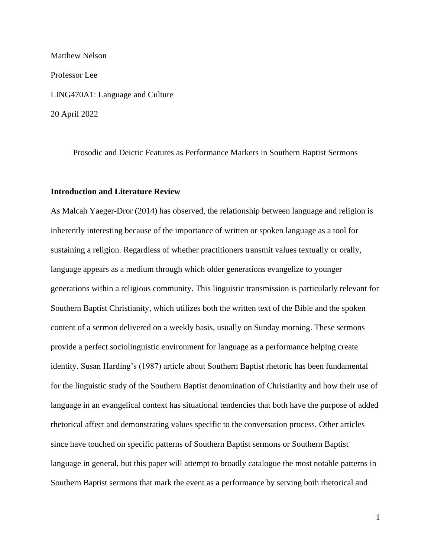Matthew Nelson Professor Lee LING470A1: Language and Culture 20 April 2022

Prosodic and Deictic Features as Performance Markers in Southern Baptist Sermons

# **Introduction and Literature Review**

As Malcah Yaeger-Dror (2014) has observed, the relationship between language and religion is inherently interesting because of the importance of written or spoken language as a tool for sustaining a religion. Regardless of whether practitioners transmit values textually or orally, language appears as a medium through which older generations evangelize to younger generations within a religious community. This linguistic transmission is particularly relevant for Southern Baptist Christianity, which utilizes both the written text of the Bible and the spoken content of a sermon delivered on a weekly basis, usually on Sunday morning. These sermons provide a perfect sociolinguistic environment for language as a performance helping create identity. Susan Harding's (1987) article about Southern Baptist rhetoric has been fundamental for the linguistic study of the Southern Baptist denomination of Christianity and how their use of language in an evangelical context has situational tendencies that both have the purpose of added rhetorical affect and demonstrating values specific to the conversation process. Other articles since have touched on specific patterns of Southern Baptist sermons or Southern Baptist language in general, but this paper will attempt to broadly catalogue the most notable patterns in Southern Baptist sermons that mark the event as a performance by serving both rhetorical and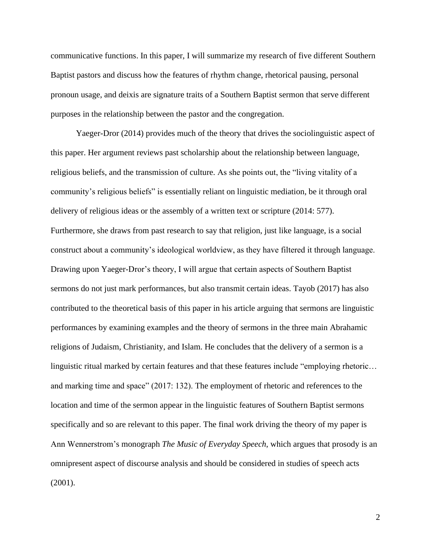communicative functions. In this paper, I will summarize my research of five different Southern Baptist pastors and discuss how the features of rhythm change, rhetorical pausing, personal pronoun usage, and deixis are signature traits of a Southern Baptist sermon that serve different purposes in the relationship between the pastor and the congregation.

Yaeger-Dror (2014) provides much of the theory that drives the sociolinguistic aspect of this paper. Her argument reviews past scholarship about the relationship between language, religious beliefs, and the transmission of culture. As she points out, the "living vitality of a community's religious beliefs" is essentially reliant on linguistic mediation, be it through oral delivery of religious ideas or the assembly of a written text or scripture (2014: 577). Furthermore, she draws from past research to say that religion, just like language, is a social construct about a community's ideological worldview, as they have filtered it through language. Drawing upon Yaeger-Dror's theory, I will argue that certain aspects of Southern Baptist sermons do not just mark performances, but also transmit certain ideas. Tayob (2017) has also contributed to the theoretical basis of this paper in his article arguing that sermons are linguistic performances by examining examples and the theory of sermons in the three main Abrahamic religions of Judaism, Christianity, and Islam. He concludes that the delivery of a sermon is a linguistic ritual marked by certain features and that these features include "employing rhetoric… and marking time and space" (2017: 132). The employment of rhetoric and references to the location and time of the sermon appear in the linguistic features of Southern Baptist sermons specifically and so are relevant to this paper. The final work driving the theory of my paper is Ann Wennerstrom's monograph *The Music of Everyday Speech*, which argues that prosody is an omnipresent aspect of discourse analysis and should be considered in studies of speech acts (2001).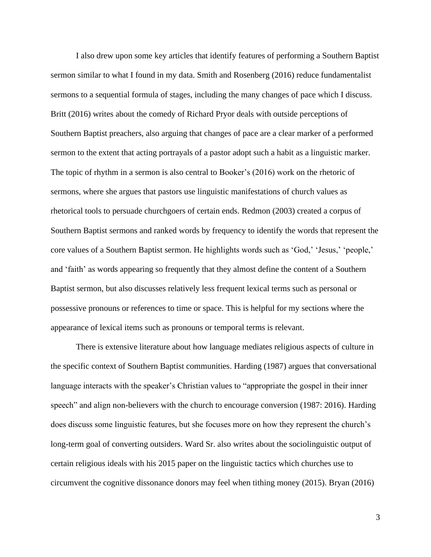I also drew upon some key articles that identify features of performing a Southern Baptist sermon similar to what I found in my data. Smith and Rosenberg (2016) reduce fundamentalist sermons to a sequential formula of stages, including the many changes of pace which I discuss. Britt (2016) writes about the comedy of Richard Pryor deals with outside perceptions of Southern Baptist preachers, also arguing that changes of pace are a clear marker of a performed sermon to the extent that acting portrayals of a pastor adopt such a habit as a linguistic marker. The topic of rhythm in a sermon is also central to Booker's (2016) work on the rhetoric of sermons, where she argues that pastors use linguistic manifestations of church values as rhetorical tools to persuade churchgoers of certain ends. Redmon (2003) created a corpus of Southern Baptist sermons and ranked words by frequency to identify the words that represent the core values of a Southern Baptist sermon. He highlights words such as 'God,' 'Jesus,' 'people,' and 'faith' as words appearing so frequently that they almost define the content of a Southern Baptist sermon, but also discusses relatively less frequent lexical terms such as personal or possessive pronouns or references to time or space. This is helpful for my sections where the appearance of lexical items such as pronouns or temporal terms is relevant.

There is extensive literature about how language mediates religious aspects of culture in the specific context of Southern Baptist communities. Harding (1987) argues that conversational language interacts with the speaker's Christian values to "appropriate the gospel in their inner speech" and align non-believers with the church to encourage conversion (1987: 2016). Harding does discuss some linguistic features, but she focuses more on how they represent the church's long-term goal of converting outsiders. Ward Sr. also writes about the sociolinguistic output of certain religious ideals with his 2015 paper on the linguistic tactics which churches use to circumvent the cognitive dissonance donors may feel when tithing money (2015). Bryan (2016)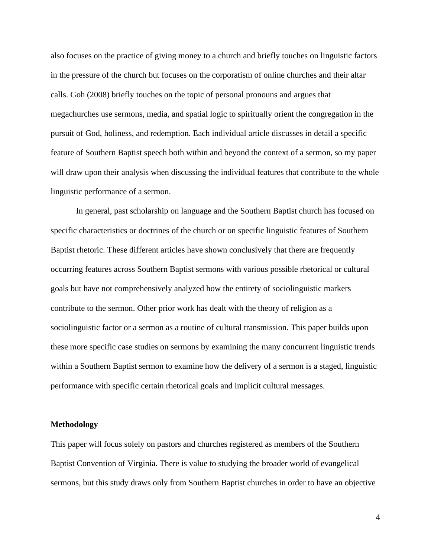also focuses on the practice of giving money to a church and briefly touches on linguistic factors in the pressure of the church but focuses on the corporatism of online churches and their altar calls. Goh (2008) briefly touches on the topic of personal pronouns and argues that megachurches use sermons, media, and spatial logic to spiritually orient the congregation in the pursuit of God, holiness, and redemption. Each individual article discusses in detail a specific feature of Southern Baptist speech both within and beyond the context of a sermon, so my paper will draw upon their analysis when discussing the individual features that contribute to the whole linguistic performance of a sermon.

In general, past scholarship on language and the Southern Baptist church has focused on specific characteristics or doctrines of the church or on specific linguistic features of Southern Baptist rhetoric. These different articles have shown conclusively that there are frequently occurring features across Southern Baptist sermons with various possible rhetorical or cultural goals but have not comprehensively analyzed how the entirety of sociolinguistic markers contribute to the sermon. Other prior work has dealt with the theory of religion as a sociolinguistic factor or a sermon as a routine of cultural transmission. This paper builds upon these more specific case studies on sermons by examining the many concurrent linguistic trends within a Southern Baptist sermon to examine how the delivery of a sermon is a staged, linguistic performance with specific certain rhetorical goals and implicit cultural messages.

# **Methodology**

This paper will focus solely on pastors and churches registered as members of the Southern Baptist Convention of Virginia. There is value to studying the broader world of evangelical sermons, but this study draws only from Southern Baptist churches in order to have an objective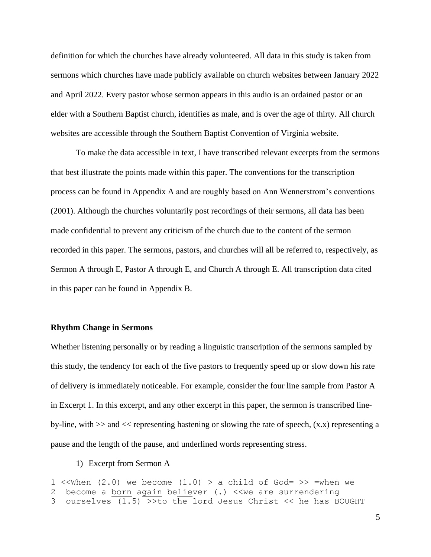definition for which the churches have already volunteered. All data in this study is taken from sermons which churches have made publicly available on church websites between January 2022 and April 2022. Every pastor whose sermon appears in this audio is an ordained pastor or an elder with a Southern Baptist church, identifies as male, and is over the age of thirty. All church websites are accessible through the Southern Baptist Convention of Virginia website.

To make the data accessible in text, I have transcribed relevant excerpts from the sermons that best illustrate the points made within this paper. The conventions for the transcription process can be found in Appendix A and are roughly based on Ann Wennerstrom's conventions (2001). Although the churches voluntarily post recordings of their sermons, all data has been made confidential to prevent any criticism of the church due to the content of the sermon recorded in this paper. The sermons, pastors, and churches will all be referred to, respectively, as Sermon A through E, Pastor A through E, and Church A through E. All transcription data cited in this paper can be found in Appendix B.

# **Rhythm Change in Sermons**

Whether listening personally or by reading a linguistic transcription of the sermons sampled by this study, the tendency for each of the five pastors to frequently speed up or slow down his rate of delivery is immediately noticeable. For example, consider the four line sample from Pastor A in Excerpt 1. In this excerpt, and any other excerpt in this paper, the sermon is transcribed lineby-line, with  $\gg$  and  $\ll$  representing hastening or slowing the rate of speech,  $(x.x)$  representing a pause and the length of the pause, and underlined words representing stress.

# 1) Excerpt from Sermon A

```
1 << When (2.0) we become (1.0) > a child of God= >> = when we
2 become a born again believer (.) << we are surrendering
3 ourselves (1.5) >>to the lord Jesus Christ << he has BOUGHT
```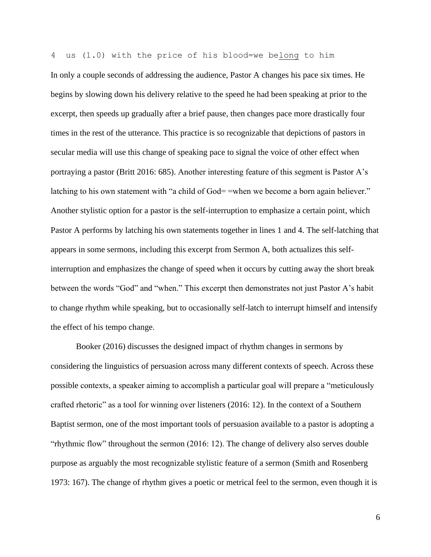4 us (1.0) with the price of his blood=we belong to him In only a couple seconds of addressing the audience, Pastor A changes his pace six times. He begins by slowing down his delivery relative to the speed he had been speaking at prior to the excerpt, then speeds up gradually after a brief pause, then changes pace more drastically four times in the rest of the utterance. This practice is so recognizable that depictions of pastors in secular media will use this change of speaking pace to signal the voice of other effect when portraying a pastor (Britt 2016: 685). Another interesting feature of this segment is Pastor A's latching to his own statement with "a child of God= =when we become a born again believer." Another stylistic option for a pastor is the self-interruption to emphasize a certain point, which Pastor A performs by latching his own statements together in lines 1 and 4. The self-latching that appears in some sermons, including this excerpt from Sermon A, both actualizes this selfinterruption and emphasizes the change of speed when it occurs by cutting away the short break between the words "God" and "when." This excerpt then demonstrates not just Pastor A's habit to change rhythm while speaking, but to occasionally self-latch to interrupt himself and intensify the effect of his tempo change.

Booker (2016) discusses the designed impact of rhythm changes in sermons by considering the linguistics of persuasion across many different contexts of speech. Across these possible contexts, a speaker aiming to accomplish a particular goal will prepare a "meticulously crafted rhetoric" as a tool for winning over listeners (2016: 12). In the context of a Southern Baptist sermon, one of the most important tools of persuasion available to a pastor is adopting a "rhythmic flow" throughout the sermon (2016: 12). The change of delivery also serves double purpose as arguably the most recognizable stylistic feature of a sermon (Smith and Rosenberg 1973: 167). The change of rhythm gives a poetic or metrical feel to the sermon, even though it is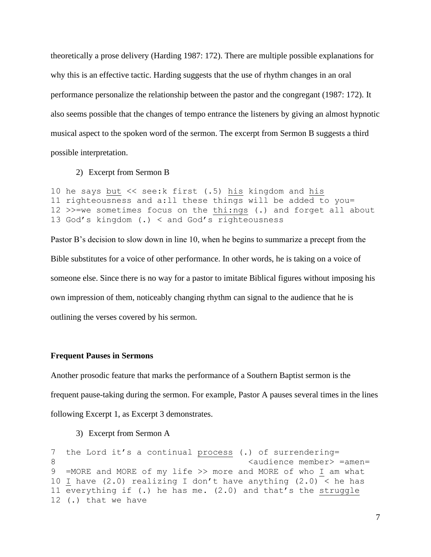theoretically a prose delivery (Harding 1987: 172). There are multiple possible explanations for why this is an effective tactic. Harding suggests that the use of rhythm changes in an oral performance personalize the relationship between the pastor and the congregant (1987: 172). It also seems possible that the changes of tempo entrance the listeners by giving an almost hypnotic musical aspect to the spoken word of the sermon. The excerpt from Sermon B suggests a third possible interpretation.

2) Excerpt from Sermon B

```
10 he says but << see:k first (.5) his kingdom and his
11 righteousness and a:ll these things will be added to you=
12 >>=we sometimes focus on the thi:ngs (.) and forget all about
13 God's kingdom (.) < and God's righteousness
```
Pastor B's decision to slow down in line 10, when he begins to summarize a precept from the Bible substitutes for a voice of other performance. In other words, he is taking on a voice of someone else. Since there is no way for a pastor to imitate Biblical figures without imposing his own impression of them, noticeably changing rhythm can signal to the audience that he is outlining the verses covered by his sermon.

# **Frequent Pauses in Sermons**

Another prosodic feature that marks the performance of a Southern Baptist sermon is the frequent pause-taking during the sermon. For example, Pastor A pauses several times in the lines following Excerpt 1, as Excerpt 3 demonstrates.

3) Excerpt from Sermon A

```
7 the Lord it's a continual process (.) of surrendering=
8 audience member> =amen=
9 =MORE and MORE of my life >> more and MORE of who I am what
10 I have (2.0) realizing I don't have anything (2.0) < he has
11 everything if (.) he has me. (2.0) and that's the struggle
12 (.) that we have
```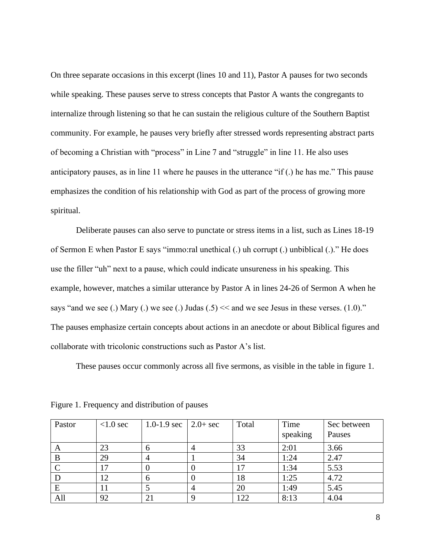On three separate occasions in this excerpt (lines 10 and 11), Pastor A pauses for two seconds while speaking. These pauses serve to stress concepts that Pastor A wants the congregants to internalize through listening so that he can sustain the religious culture of the Southern Baptist community. For example, he pauses very briefly after stressed words representing abstract parts of becoming a Christian with "process" in Line 7 and "struggle" in line 11. He also uses anticipatory pauses, as in line 11 where he pauses in the utterance "if (.) he has me." This pause emphasizes the condition of his relationship with God as part of the process of growing more spiritual.

Deliberate pauses can also serve to punctate or stress items in a list, such as Lines 18-19 of Sermon E when Pastor E says "immo:ral unethical (.) uh corrupt (.) unbiblical (.)." He does use the filler "uh" next to a pause, which could indicate unsureness in his speaking. This example, however, matches a similar utterance by Pastor A in lines 24-26 of Sermon A when he says "and we see (.) Mary (.) we see (.) Judas  $(0.5) \leq$  and we see Jesus in these verses. (1.0)." The pauses emphasize certain concepts about actions in an anecdote or about Biblical figures and collaborate with tricolonic constructions such as Pastor A's list.

These pauses occur commonly across all five sermons, as visible in the table in figure 1.

| Pastor | $< 1.0$ sec   | 1.0-1.9 sec $\vert$ 2.0+ sec | Total | Time<br>speaking | Sec between<br>Pauses |
|--------|---------------|------------------------------|-------|------------------|-----------------------|
| A      | 23            |                              | 33    | 2:01             | 3.66                  |
| B      | 29            | $\overline{4}$               | 34    | 1:24             | 2.47                  |
|        | $\mathcal{L}$ |                              |       | 1:34             | 5.53                  |
|        | 12            |                              | 18    | 1:25             | 4.72                  |
| E      | l 1           |                              | 20    | 1:49             | 5.45                  |
| All    | 92            | 21                           | 122   | 8:13             | 4.04                  |

Figure 1. Frequency and distribution of pauses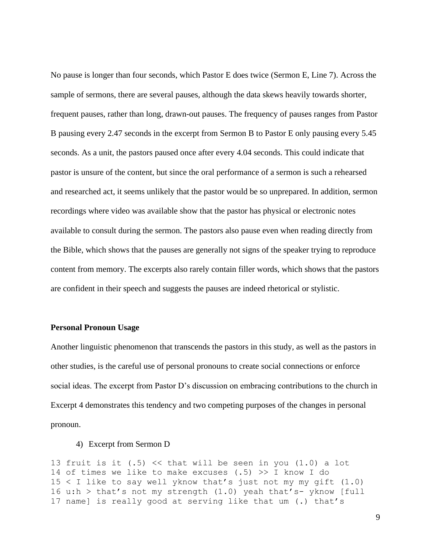No pause is longer than four seconds, which Pastor E does twice (Sermon E, Line 7). Across the sample of sermons, there are several pauses, although the data skews heavily towards shorter, frequent pauses, rather than long, drawn-out pauses. The frequency of pauses ranges from Pastor B pausing every 2.47 seconds in the excerpt from Sermon B to Pastor E only pausing every 5.45 seconds. As a unit, the pastors paused once after every 4.04 seconds. This could indicate that pastor is unsure of the content, but since the oral performance of a sermon is such a rehearsed and researched act, it seems unlikely that the pastor would be so unprepared. In addition, sermon recordings where video was available show that the pastor has physical or electronic notes available to consult during the sermon. The pastors also pause even when reading directly from the Bible, which shows that the pauses are generally not signs of the speaker trying to reproduce content from memory. The excerpts also rarely contain filler words, which shows that the pastors are confident in their speech and suggests the pauses are indeed rhetorical or stylistic.

# **Personal Pronoun Usage**

Another linguistic phenomenon that transcends the pastors in this study, as well as the pastors in other studies, is the careful use of personal pronouns to create social connections or enforce social ideas. The excerpt from Pastor D's discussion on embracing contributions to the church in Excerpt 4 demonstrates this tendency and two competing purposes of the changes in personal pronoun.

### 4) Excerpt from Sermon D

13 fruit is it  $(.5)$  << that will be seen in you  $(1.0)$  a lot 14 of times we like to make excuses  $(.5)$  >> I know I do  $15 < I$  like to say well yknow that's just not my my gift  $(1.0)$ 16 u:h > that's not my strength  $(1.0)$  yeah that's- yknow [full 17 name] is really good at serving like that um (.) that's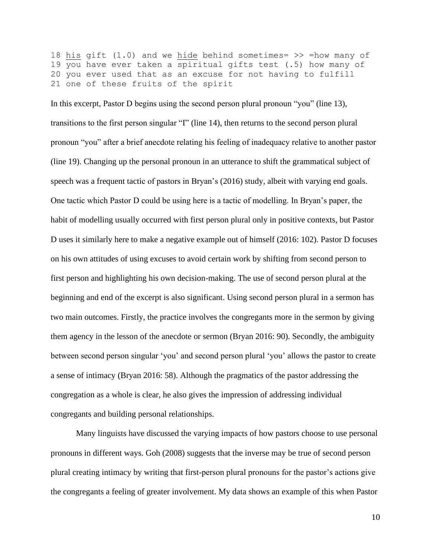18 his gift  $(1.0)$  and we hide behind sometimes= >> =how many of 19 you have ever taken a spiritual gifts test (.5) how many of 20 you ever used that as an excuse for not having to fulfill 21 one of these fruits of the spirit

In this excerpt, Pastor D begins using the second person plural pronoun "you" (line 13), transitions to the first person singular "I" (line 14), then returns to the second person plural pronoun "you" after a brief anecdote relating his feeling of inadequacy relative to another pastor (line 19). Changing up the personal pronoun in an utterance to shift the grammatical subject of speech was a frequent tactic of pastors in Bryan's (2016) study, albeit with varying end goals. One tactic which Pastor D could be using here is a tactic of modelling. In Bryan's paper, the habit of modelling usually occurred with first person plural only in positive contexts, but Pastor D uses it similarly here to make a negative example out of himself (2016: 102). Pastor D focuses on his own attitudes of using excuses to avoid certain work by shifting from second person to first person and highlighting his own decision-making. The use of second person plural at the beginning and end of the excerpt is also significant. Using second person plural in a sermon has two main outcomes. Firstly, the practice involves the congregants more in the sermon by giving them agency in the lesson of the anecdote or sermon (Bryan 2016: 90). Secondly, the ambiguity between second person singular 'you' and second person plural 'you' allows the pastor to create a sense of intimacy (Bryan 2016: 58). Although the pragmatics of the pastor addressing the congregation as a whole is clear, he also gives the impression of addressing individual congregants and building personal relationships.

Many linguists have discussed the varying impacts of how pastors choose to use personal pronouns in different ways. Goh (2008) suggests that the inverse may be true of second person plural creating intimacy by writing that first-person plural pronouns for the pastor's actions give the congregants a feeling of greater involvement. My data shows an example of this when Pastor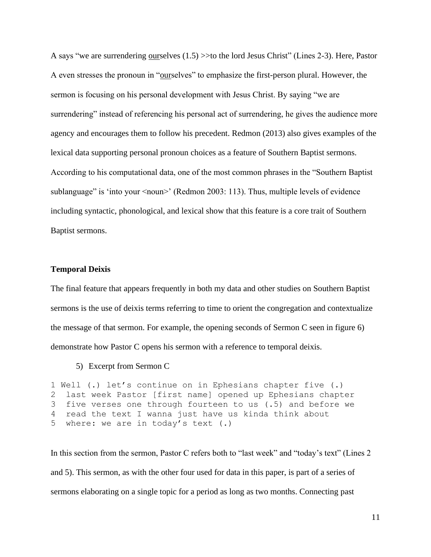A says "we are surrendering ourselves (1.5) >>to the lord Jesus Christ" (Lines 2-3). Here, Pastor A even stresses the pronoun in "ourselves" to emphasize the first-person plural. However, the sermon is focusing on his personal development with Jesus Christ. By saying "we are surrendering" instead of referencing his personal act of surrendering, he gives the audience more agency and encourages them to follow his precedent. Redmon (2013) also gives examples of the lexical data supporting personal pronoun choices as a feature of Southern Baptist sermons. According to his computational data, one of the most common phrases in the "Southern Baptist sublanguage" is 'into your <noun>' (Redmon 2003: 113). Thus, multiple levels of evidence including syntactic, phonological, and lexical show that this feature is a core trait of Southern Baptist sermons.

### **Temporal Deixis**

The final feature that appears frequently in both my data and other studies on Southern Baptist sermons is the use of deixis terms referring to time to orient the congregation and contextualize the message of that sermon. For example, the opening seconds of Sermon C seen in figure 6) demonstrate how Pastor C opens his sermon with a reference to temporal deixis.

5) Excerpt from Sermon C

```
1 Well (.) let's continue on in Ephesians chapter five (.)
2 last week Pastor [first name] opened up Ephesians chapter
3 five verses one through fourteen to us (.5) and before we
4 read the text I wanna just have us kinda think about
5 where: we are in today's text (.)
```
In this section from the sermon, Pastor C refers both to "last week" and "today's text" (Lines 2 and 5). This sermon, as with the other four used for data in this paper, is part of a series of sermons elaborating on a single topic for a period as long as two months. Connecting past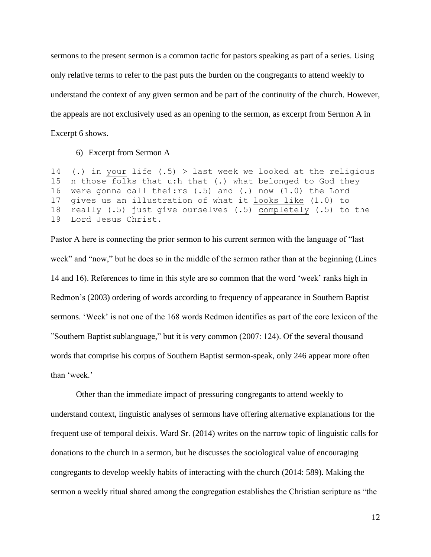sermons to the present sermon is a common tactic for pastors speaking as part of a series. Using only relative terms to refer to the past puts the burden on the congregants to attend weekly to understand the context of any given sermon and be part of the continuity of the church. However, the appeals are not exclusively used as an opening to the sermon, as excerpt from Sermon A in Excerpt 6 shows.

6) Excerpt from Sermon A

14 (.) in your life  $(.5)$  > last week we looked at the religious 15 n those folks that u:h that (.) what belonged to God they 16 were gonna call thei:rs (.5) and (.) now (1.0) the Lord 17 gives us an illustration of what it looks like (1.0) to 18 really (.5) just give ourselves (.5) completely (.5) to the 19 Lord Jesus Christ.

Pastor A here is connecting the prior sermon to his current sermon with the language of "last week" and "now," but he does so in the middle of the sermon rather than at the beginning (Lines 14 and 16). References to time in this style are so common that the word 'week' ranks high in Redmon's (2003) ordering of words according to frequency of appearance in Southern Baptist sermons. 'Week' is not one of the 168 words Redmon identifies as part of the core lexicon of the "Southern Baptist sublanguage," but it is very common (2007: 124). Of the several thousand words that comprise his corpus of Southern Baptist sermon-speak, only 246 appear more often than 'week.'

Other than the immediate impact of pressuring congregants to attend weekly to understand context, linguistic analyses of sermons have offering alternative explanations for the frequent use of temporal deixis. Ward Sr. (2014) writes on the narrow topic of linguistic calls for donations to the church in a sermon, but he discusses the sociological value of encouraging congregants to develop weekly habits of interacting with the church (2014: 589). Making the sermon a weekly ritual shared among the congregation establishes the Christian scripture as "the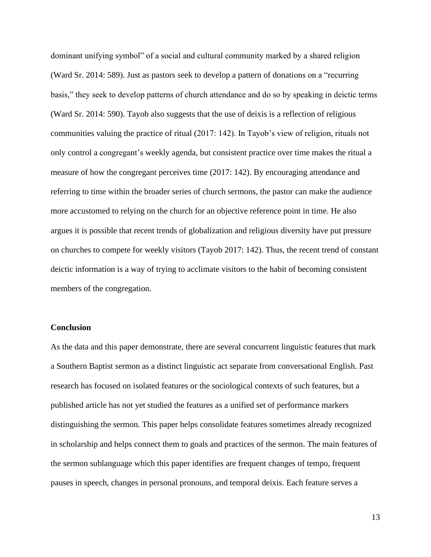dominant unifying symbol" of a social and cultural community marked by a shared religion (Ward Sr. 2014: 589). Just as pastors seek to develop a pattern of donations on a "recurring basis," they seek to develop patterns of church attendance and do so by speaking in deictic terms (Ward Sr. 2014: 590). Tayob also suggests that the use of deixis is a reflection of religious communities valuing the practice of ritual (2017: 142). In Tayob's view of religion, rituals not only control a congregant's weekly agenda, but consistent practice over time makes the ritual a measure of how the congregant perceives time (2017: 142). By encouraging attendance and referring to time within the broader series of church sermons, the pastor can make the audience more accustomed to relying on the church for an objective reference point in time. He also argues it is possible that recent trends of globalization and religious diversity have put pressure on churches to compete for weekly visitors (Tayob 2017: 142). Thus, the recent trend of constant deictic information is a way of trying to acclimate visitors to the habit of becoming consistent members of the congregation.

# **Conclusion**

As the data and this paper demonstrate, there are several concurrent linguistic features that mark a Southern Baptist sermon as a distinct linguistic act separate from conversational English. Past research has focused on isolated features or the sociological contexts of such features, but a published article has not yet studied the features as a unified set of performance markers distinguishing the sermon. This paper helps consolidate features sometimes already recognized in scholarship and helps connect them to goals and practices of the sermon. The main features of the sermon sublanguage which this paper identifies are frequent changes of tempo, frequent pauses in speech, changes in personal pronouns, and temporal deixis. Each feature serves a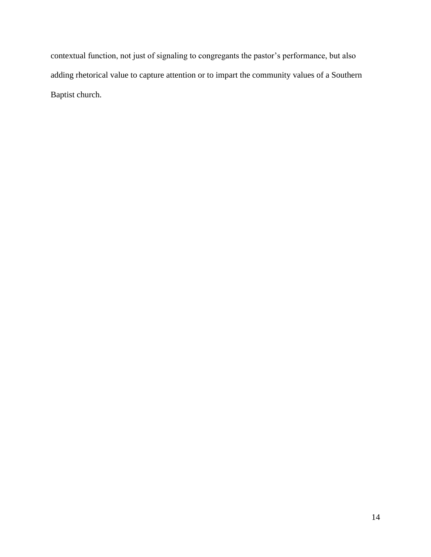contextual function, not just of signaling to congregants the pastor's performance, but also adding rhetorical value to capture attention or to impart the community values of a Southern Baptist church.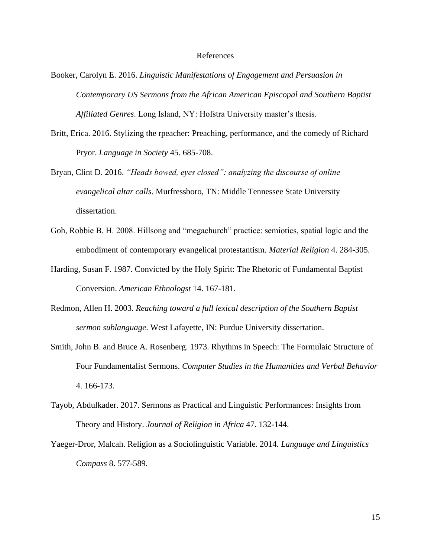# References

- Booker, Carolyn E. 2016. *Linguistic Manifestations of Engagement and Persuasion in Contemporary US Sermons from the African American Episcopal and Southern Baptist Affiliated Genres*. Long Island, NY: Hofstra University master's thesis.
- Britt, Erica. 2016. Stylizing the rpeacher: Preaching, performance, and the comedy of Richard Pryor. *Language in Society* 45. 685-708.
- Bryan, Clint D. 2016. *"Heads bowed, eyes closed": analyzing the discourse of online evangelical altar calls*. Murfressboro, TN: Middle Tennessee State University dissertation.
- Goh, Robbie B. H. 2008. Hillsong and "megachurch" practice: semiotics, spatial logic and the embodiment of contemporary evangelical protestantism. *Material Religion* 4. 284-305.
- Harding, Susan F. 1987. Convicted by the Holy Spirit: The Rhetoric of Fundamental Baptist Conversion. *American Ethnologst* 14. 167-181.
- Redmon, Allen H. 2003. *Reaching toward a full lexical description of the Southern Baptist sermon sublanguage*. West Lafayette, IN: Purdue University dissertation.
- Smith, John B. and Bruce A. Rosenberg. 1973. Rhythms in Speech: The Formulaic Structure of Four Fundamentalist Sermons. *Computer Studies in the Humanities and Verbal Behavior* 4. 166-173.
- Tayob, Abdulkader. 2017. Sermons as Practical and Linguistic Performances: Insights from Theory and History. *Journal of Religion in Africa* 47. 132-144.
- Yaeger-Dror, Malcah. Religion as a Sociolinguistic Variable. 2014. *Language and Linguistics Compass* 8. 577-589.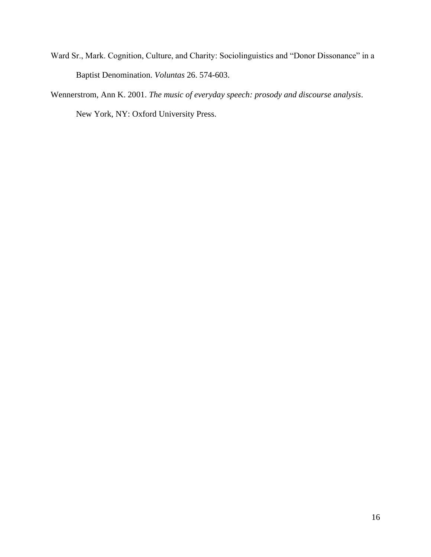- Ward Sr., Mark. Cognition, Culture, and Charity: Sociolinguistics and "Donor Dissonance" in a Baptist Denomination. *Voluntas* 26. 574-603.
- Wennerstrom, Ann K. 2001. *The music of everyday speech: prosody and discourse analysis*. New York, NY: Oxford University Press.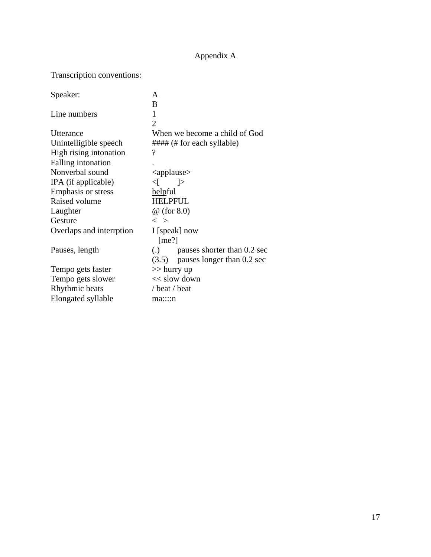# Appendix A

# Transcription conventions:

| Speaker:                 | A                                     |  |  |  |
|--------------------------|---------------------------------------|--|--|--|
|                          | B                                     |  |  |  |
| Line numbers             | 1                                     |  |  |  |
|                          | $\mathcal{D}_{\mathcal{L}}$           |  |  |  |
| Utterance                | When we become a child of God         |  |  |  |
| Unintelligible speech    | ##### (# for each syllable)           |  |  |  |
| High rising intonation   | ?                                     |  |  |  |
| Falling intonation       |                                       |  |  |  |
| Nonverbal sound          | $\langle$ applause $\rangle$          |  |  |  |
| IPA (if applicable)      | <[  >                                 |  |  |  |
| Emphasis or stress       | helpful                               |  |  |  |
| Raised volume            | <b>HELPFUL</b>                        |  |  |  |
| Laughter                 | $\omega$ (for 8.0)                    |  |  |  |
| Gesture                  | $\langle \rangle$                     |  |  |  |
| Overlaps and interrption | I [speak] now                         |  |  |  |
|                          | [me?]                                 |  |  |  |
| Pauses, length           | $\lambda$ pauses shorter than 0.2 sec |  |  |  |
|                          | $(3.5)$ pauses longer than 0.2 sec    |  |  |  |
| Tempo gets faster        | $\gg$ hurry up                        |  |  |  |
| Tempo gets slower        | $<<$ slow down                        |  |  |  |
| Rhythmic beats           | / beat / beat                         |  |  |  |
| Elongated syllable       | ma::::n                               |  |  |  |
|                          |                                       |  |  |  |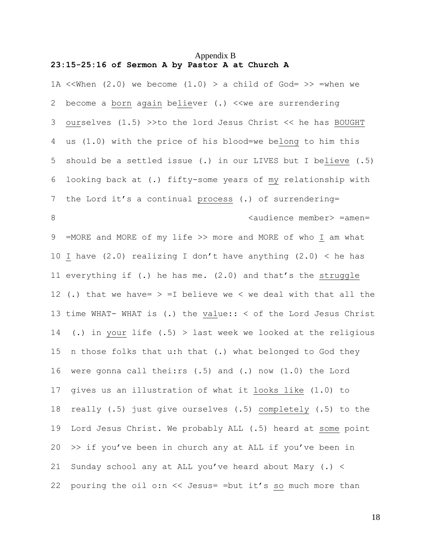# Appendix B **23:15-25:16 of Sermon A by Pastor A at Church A**

1A << When  $(2.0)$  we become  $(1.0)$  > a child of God= >> = when we 2 become a born again believer (.) << we are surrendering 3 ourselves (1.5) >>to the lord Jesus Christ << he has BOUGHT 4 us (1.0) with the price of his blood=we belong to him this 5 should be a settled issue (.) in our LIVES but I believe (.5) 6 looking back at (.) fifty-some years of my relationship with 7 the Lord it's a continual process (.) of surrendering= 8 audience member> =amen= 9 =MORE and MORE of my life >> more and MORE of who I am what 10 I have (2.0) realizing I don't have anything (2.0)  $\lt$  he has 11 everything if (.) he has me. (2.0) and that's the struggle 12 (.) that we have=  $>$  =I believe we < we deal with that all the 13 time WHAT- WHAT is (.) the value:: < of the Lord Jesus Christ 14 (.) in your life (.5) > last week we looked at the religious 15 n those folks that u:h that (.) what belonged to God they 16 were gonna call thei:rs (.5) and (.) now (1.0) the Lord 17 gives us an illustration of what it looks like (1.0) to 18 really (.5) just give ourselves (.5) completely (.5) to the 19 Lord Jesus Christ. We probably ALL (.5) heard at some point  $20 \rightarrow$  if you've been in church any at ALL if you've been in 21 Sunday school any at ALL you've heard about Mary (.) < 22 pouring the oil o:n << Jesus= =but it's so much more than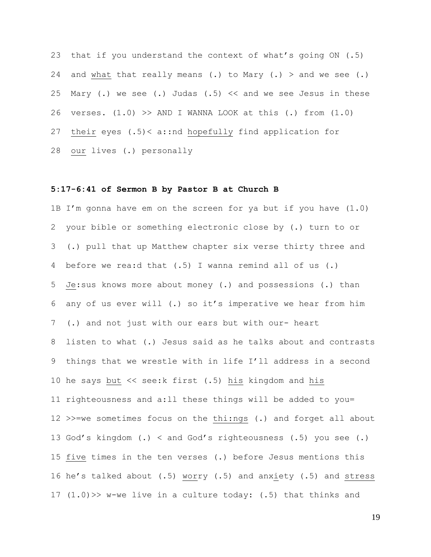23 that if you understand the context of what's going ON (.5) 24 and what that really means (.) to Mary (.) > and we see (.) 25 Mary (.) we see (.) Judas (.5)  $\lt\lt$  and we see Jesus in these 26 verses.  $(1.0)$  >> AND I WANNA LOOK at this  $(.)$  from  $(1.0)$ 27 their eyes (.5)< a::nd hopefully find application for 28 our lives (.) personally

### **5:17-6:41 of Sermon B by Pastor B at Church B**

1B I'm gonna have em on the screen for ya but if you have (1.0) 2 your bible or something electronic close by (.) turn to or 3 (.) pull that up Matthew chapter six verse thirty three and 4 before we rea:d that (.5) I wanna remind all of us (.) 5 Je:sus knows more about money (.) and possessions (.) than 6 any of us ever will (.) so it's imperative we hear from him 7 (.) and not just with our ears but with our- heart 8 listen to what (.) Jesus said as he talks about and contrasts 9 things that we wrestle with in life I'll address in a second 10 he says but << see:k first (.5) his kingdom and his 11 righteousness and a:ll these things will be added to you= 12 >>=we sometimes focus on the thi:ngs (.) and forget all about 13 God's kingdom (.) < and God's righteousness (.5) you see (.) 15 five times in the ten verses (.) before Jesus mentions this 16 he's talked about (.5) worry (.5) and anxiety (.5) and stress 17 (1.0)>> w-we live in a culture today: (.5) that thinks and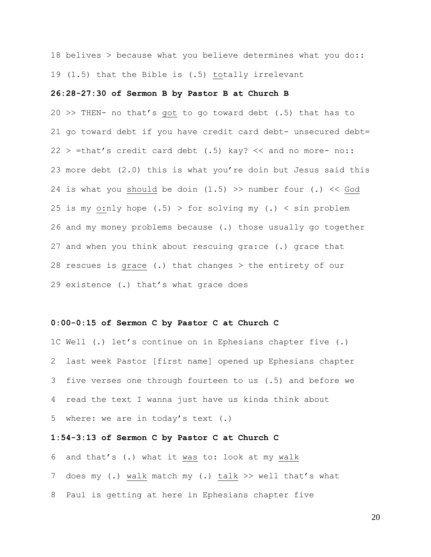18 belives > because what you believe determines what you do:: 19 (1.5) that the Bible is (.5) totally irrelevant

# **26:28-27:30 of Sermon B by Pastor B at Church B**

20 >> THEN- no that's got to go toward debt (.5) that has to 21 go toward debt if you have credit card debt- unsecured debt=  $22 >$  =that's credit card debt (.5) kay?  $<<$  and no more- no:: 23 more debt (2.0) this is what you're doin but Jesus said this 24 is what you should be doin  $(1.5)$  >> number four  $(.)$  << God 25 is my o:nly hope  $(.5)$  > for solving my  $(.)$  < sin problem 26 and my money problems because (.) those usually go together 27 and when you think about rescuing gra:ce (.) grace that 28 rescues is grace (.) that changes > the entirety of our 29 existence (.) that's what grace does

### **0:00-0:15 of Sermon C by Pastor C at Church C**

1C Well (.) let's continue on in Ephesians chapter five (.) 2 last week Pastor [first name] opened up Ephesians chapter 3 five verses one through fourteen to us (.5) and before we 4 read the text I wanna just have us kinda think about 5 where: we are in today's text (.)

### **1:54-3:13 of Sermon C by Pastor C at Church C**

6 and that's (.) what it was to: look at my walk 7 does my (.) walk match my (.) talk >> well that's what 8 Paul is getting at here in Ephesians chapter five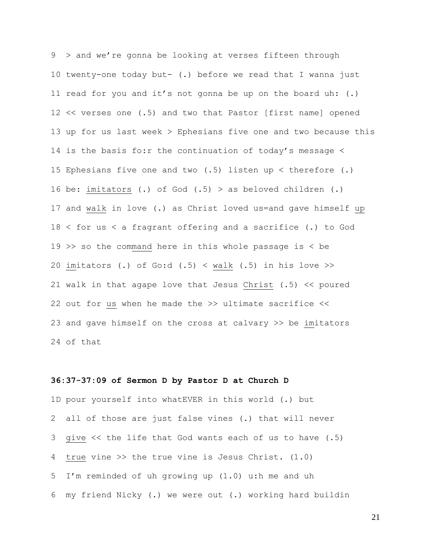9 > and we're gonna be looking at verses fifteen through 10 twenty-one today but- (.) before we read that I wanna just 11 read for you and it's not gonna be up on the board uh: (.) 12 << verses one (.5) and two that Pastor [first name] opened 13 up for us last week > Ephesians five one and two because this 14 is the basis fo:r the continuation of today's message < 15 Ephesians five one and two (.5) listen up < therefore (.) 16 be: imitators (.) of God (.5) > as beloved children (.) 17 and walk in love (.) as Christ loved us=and gave himself up 18 < for us < a fragrant offering and a sacrifice (.) to God 19 >> so the command here in this whole passage is < be 20 imitators (.) of Go:d  $(.5)$  < walk  $(.5)$  in his love >> 21 walk in that agape love that Jesus Christ (.5) << poured 22 out for us when he made the >> ultimate sacrifice << 23 and gave himself on the cross at calvary >> be imitators 24 of that

#### **36:37-37:09 of Sermon D by Pastor D at Church D**

1D pour yourself into whatEVER in this world (.) but 2 all of those are just false vines (.) that will never 3 give << the life that God wants each of us to have (.5) 4 true vine >> the true vine is Jesus Christ. (1.0) 5 I'm reminded of uh growing up (1.0) u:h me and uh 6 my friend Nicky (.) we were out (.) working hard buildin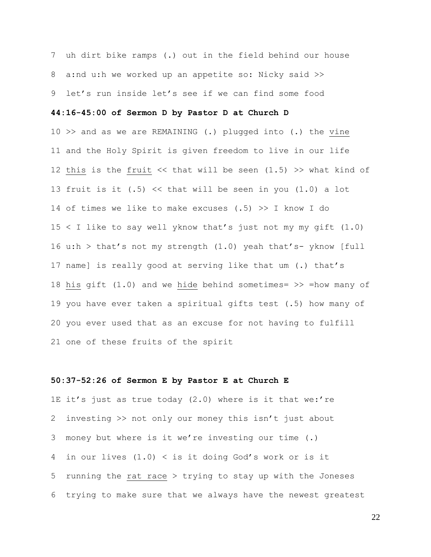7 uh dirt bike ramps (.) out in the field behind our house 8 a:nd u:h we worked up an appetite so: Nicky said >> 9 let's run inside let's see if we can find some food

# **44:16-45:00 of Sermon D by Pastor D at Church D**

10 >> and as we are REMAINING (.) plugged into (.) the vine 11 and the Holy Spirit is given freedom to live in our life 12 this is the fruit  $\lt\lt$  that will be seen (1.5) >> what kind of 13 fruit is it (.5) << that will be seen in you (1.0) a lot 14 of times we like to make excuses (.5) >> I know I do 15 < I like to say well yknow that's just not my my gift (1.0) 16 u:h > that's not my strength  $(1.0)$  yeah that's- yknow [full 17 name] is really good at serving like that um (.) that's 18 his gift (1.0) and we hide behind sometimes= >> =how many of 19 you have ever taken a spiritual gifts test (.5) how many of 20 you ever used that as an excuse for not having to fulfill 21 one of these fruits of the spirit

### **50:37-52:26 of Sermon E by Pastor E at Church E**

1E it's just as true today (2.0) where is it that we:'re 2 investing >> not only our money this isn't just about 3 money but where is it we're investing our time (.) 4 in our lives (1.0) < is it doing God's work or is it 5 running the rat race > trying to stay up with the Joneses 6 trying to make sure that we always have the newest greatest